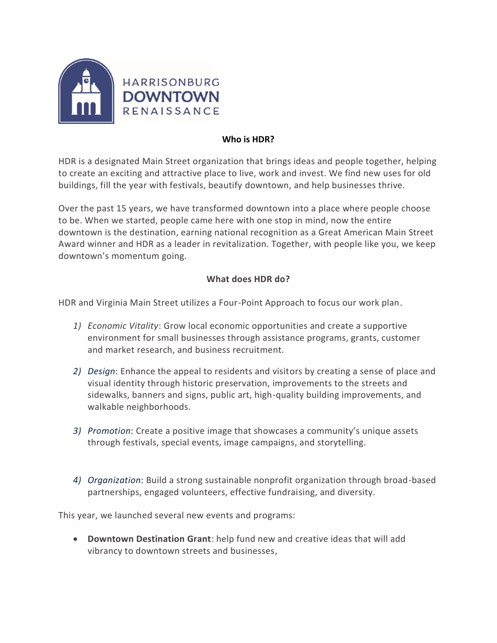

#### **Who is HDR?**

HDR is a designated Main Street organization that brings ideas and people together, helping to create an exciting and attractive place to live, work and invest. We find new uses for old buildings, fill the year with festivals, beautify downtown, and help businesses thrive.

Over the past 15 years, we have transformed downtown into a place where people choose to be. When we started, people came here with one stop in mind, now the entire downtown is the destination, earning national recognition as a Great American Main Street Award winner and HDR as a leader in revitalization. Together, with people like you, we keep downtown's momentum going.

### **What does HDR do?**

HDR and Virginia Main Street utilizes a Four-Point Approach to focus our work plan.

- *1) Economic Vitality*: Grow local economic opportunities and create a supportive environment for small businesses through assistance programs, grants, customer and market research, and business recruitment.
- *2) Design*: Enhance the appeal to residents and visitors by creating a sense of place and visual identity through historic preservation, improvements to the streets and sidewalks, banners and signs, public art, high-quality building improvements, and walkable neighborhoods.
- *3) Promotion*: Create a positive image that showcases a community's unique assets through festivals, special events, image campaigns, and storytelling.
- *4) Organization*: Build a strong sustainable nonprofit organization through broad-based partnerships, engaged volunteers, effective fundraising, and diversity.

This year, we launched several new events and programs:

• **Downtown Destination Grant**: help fund new and creative ideas that will add vibrancy to downtown streets and businesses,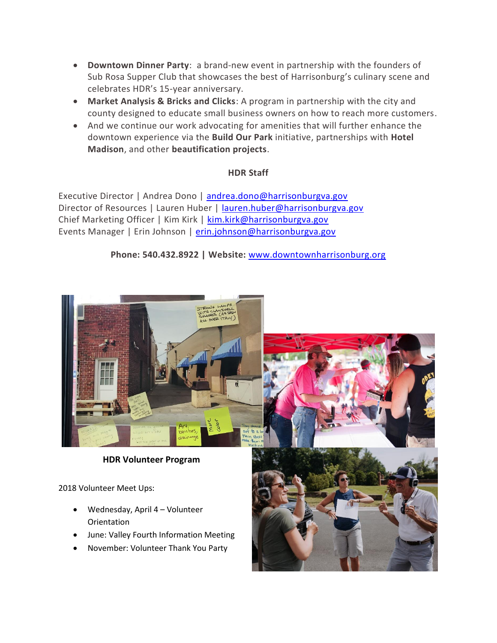- **Downtown Dinner Party**: a brand-new event in partnership with the founders of Sub Rosa Supper Club that showcases the best of Harrisonburg's culinary scene and celebrates HDR's 15-year anniversary.
- **Market Analysis & Bricks and Clicks**: A program in partnership with the city and county designed to educate small business owners on how to reach more customers.
- And we continue our work advocating for amenities that will further enhance the downtown experience via the **Build Our Park** initiative, partnerships with **Hotel Madison**, and other **beautification projects**.

### **HDR Staff**

Executive Director | Andrea Dono | [andrea.dono@harrisonburgva.gov](mailto:andrea.dono@harrisonburgva.gov) Director of Resources | Lauren Huber | [lauren.huber@harrisonburgva.gov](mailto:lauren.huber@harrisonburgva.gov) Chief Marketing Officer | Kim Kirk | [kim.kirk@harrisonburgva.gov](mailto:kim.kirk@harrisonburgva.gov) Events Manager | Erin Johnson | [erin.johnson@harrisonburgva.gov](mailto:erin.johnson@harrisonburgva.gov)

**Phone: 540.432.8922 | Website:** [www.downtownharrisonburg.org](http://www.downtownharrisonburg.org/)



## **HDR Volunteer Program**

2018 Volunteer Meet Ups:

- Wednesday, April 4 Volunteer **Orientation**
- June: Valley Fourth Information Meeting
- November: Volunteer Thank You Party



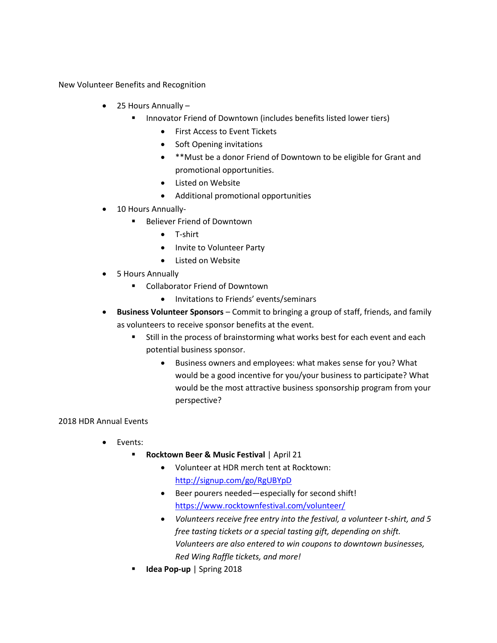New Volunteer Benefits and Recognition

- 25 Hours Annually
	- Innovator Friend of Downtown (includes benefits listed lower tiers)
		- First Access to Event Tickets
		- Soft Opening invitations
		- \*\*Must be a donor Friend of Downtown to be eligible for Grant and promotional opportunities.
		- Listed on Website
		- Additional promotional opportunities
- 10 Hours Annually-
	- Believer Friend of Downtown
		- T-shirt
		- Invite to Volunteer Party
		- Listed on Website
- 5 Hours Annually
	- Collaborator Friend of Downtown
		- Invitations to Friends' events/seminars
- **Business Volunteer Sponsors** Commit to bringing a group of staff, friends, and family as volunteers to receive sponsor benefits at the event.
	- Still in the process of brainstorming what works best for each event and each potential business sponsor.
		- Business owners and employees: what makes sense for you? What would be a good incentive for you/your business to participate? What would be the most attractive business sponsorship program from your perspective?

#### 2018 HDR Annual Events

- Events:
	- **Rocktown Beer & Music Festival** | April 21
		- Volunteer at HDR merch tent at Rocktown: <http://signup.com/go/RgUBYpD>
		- Beer pourers needed—especially for second shift! <https://www.rocktownfestival.com/volunteer/>
		- *Volunteers receive free entry into the festival, a volunteer t-shirt, and 5 free tasting tickets or a special tasting gift, depending on shift. Volunteers are also entered to win coupons to downtown businesses, Red Wing Raffle tickets, and more!*
	- **Idea Pop-up** | Spring 2018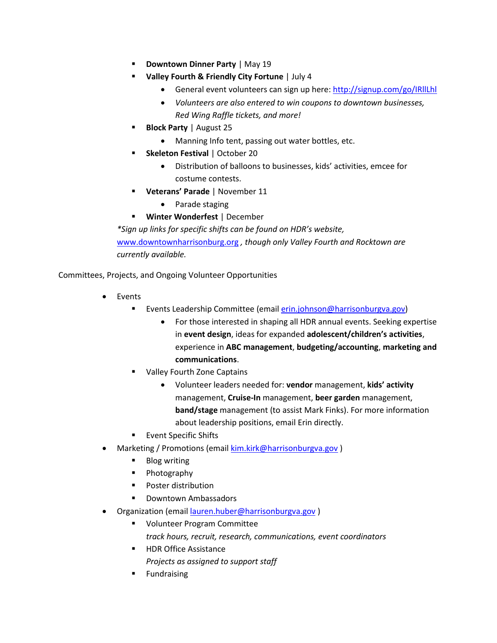- **Downtown Dinner Party** | May 19
- **Valley Fourth & Friendly City Fortune** | July 4
	- General event volunteers can sign up here:<http://signup.com/go/IRllLhl>
	- *Volunteers are also entered to win coupons to downtown businesses, Red Wing Raffle tickets, and more!*
- **Block Party** | August 25
	- Manning Info tent, passing out water bottles, etc.
- **Skeleton Festival** | October 20
	- Distribution of balloons to businesses, kids' activities, emcee for costume contests.
- **Veterans' Parade** | November 11
	- Parade staging
- **Winter Wonderfest** | December

*\*Sign up links for specific shifts can be found on HDR's website,* [www.downtownharrisonburg.org](http://www.downtownharrisonburg.org/) *, though only Valley Fourth and Rocktown are currently available.*

Committees, Projects, and Ongoing Volunteer Opportunities

- Events
	- **E** Events Leadership Committee (email **erin.johnson@harrisonburgva.gov)** 
		- For those interested in shaping all HDR annual events. Seeking expertise in **event design**, ideas for expanded **adolescent/children's activities**, experience in **ABC management**, **budgeting/accounting**, **marketing and communications**.
	- **Valley Fourth Zone Captains** 
		- Volunteer leaders needed for: **vendor** management, **kids' activity** management, **Cruise-In** management, **beer garden** management, **band/stage** management (to assist Mark Finks). For more information about leadership positions, email Erin directly.
	- Event Specific Shifts
- Marketing / Promotions (email [kim.kirk@harrisonburgva.gov](mailto:kim.kirk@harrisonburgva.gov) )
	- Blog writing
	- Photography
	- Poster distribution
	- Downtown Ambassadors
- Organization (email [lauren.huber@harrisonburgva.gov](mailto:lauren.huber@harrisonburgva.gov) )
	- Volunteer Program Committee
		- *track hours, recruit, research, communications, event coordinators*
	- HDR Office Assistance *Projects as assigned to support staff*
	- Fundraising